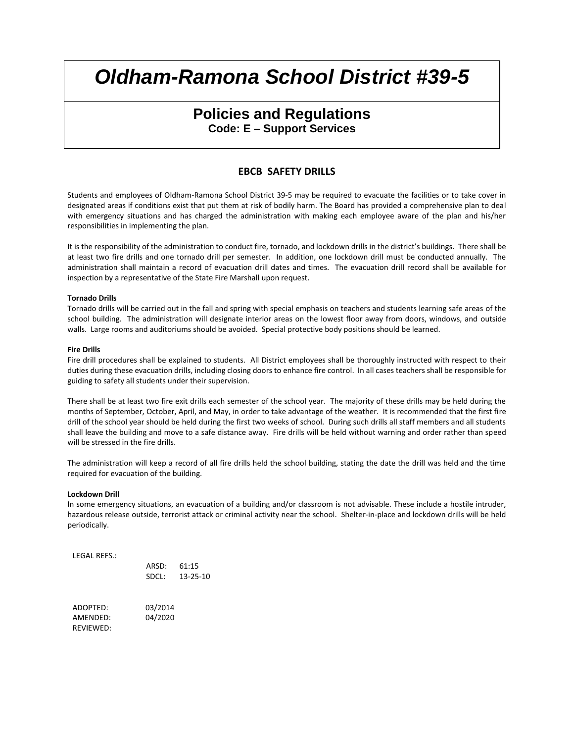## **Policies and Regulations Code: E – Support Services**

### **EBCB SAFETY DRILLS**

Students and employees of Oldham-Ramona School District 39-5 may be required to evacuate the facilities or to take cover in designated areas if conditions exist that put them at risk of bodily harm. The Board has provided a comprehensive plan to deal with emergency situations and has charged the administration with making each employee aware of the plan and his/her responsibilities in implementing the plan.

It is the responsibility of the administration to conduct fire, tornado, and lockdown drills in the district's buildings. There shall be at least two fire drills and one tornado drill per semester. In addition, one lockdown drill must be conducted annually. The administration shall maintain a record of evacuation drill dates and times. The evacuation drill record shall be available for inspection by a representative of the State Fire Marshall upon request.

#### **Tornado Drills**

Tornado drills will be carried out in the fall and spring with special emphasis on teachers and students learning safe areas of the school building. The administration will designate interior areas on the lowest floor away from doors, windows, and outside walls. Large rooms and auditoriums should be avoided. Special protective body positions should be learned.

#### **Fire Drills**

Fire drill procedures shall be explained to students. All District employees shall be thoroughly instructed with respect to their duties during these evacuation drills, including closing doors to enhance fire control. In all cases teachers shall be responsible for guiding to safety all students under their supervision.

There shall be at least two fire exit drills each semester of the school year. The majority of these drills may be held during the months of September, October, April, and May, in order to take advantage of the weather. It is recommended that the first fire drill of the school year should be held during the first two weeks of school. During such drills all staff members and all students shall leave the building and move to a safe distance away. Fire drills will be held without warning and order rather than speed will be stressed in the fire drills.

The administration will keep a record of all fire drills held the school building, stating the date the drill was held and the time required for evacuation of the building.

#### **Lockdown Drill**

In some emergency situations, an evacuation of a building and/or classroom is not advisable. These include a hostile intruder, hazardous release outside, terrorist attack or criminal activity near the school. Shelter-in-place and lockdown drills will be held periodically.

LEGAL REFS.:

|           | ARSD:   | 61:15    |
|-----------|---------|----------|
|           | SDCL:   | 13-25-10 |
| ADOPTED:  | 03/2014 |          |
| AMENDED:  | 04/2020 |          |
| REVIEWED: |         |          |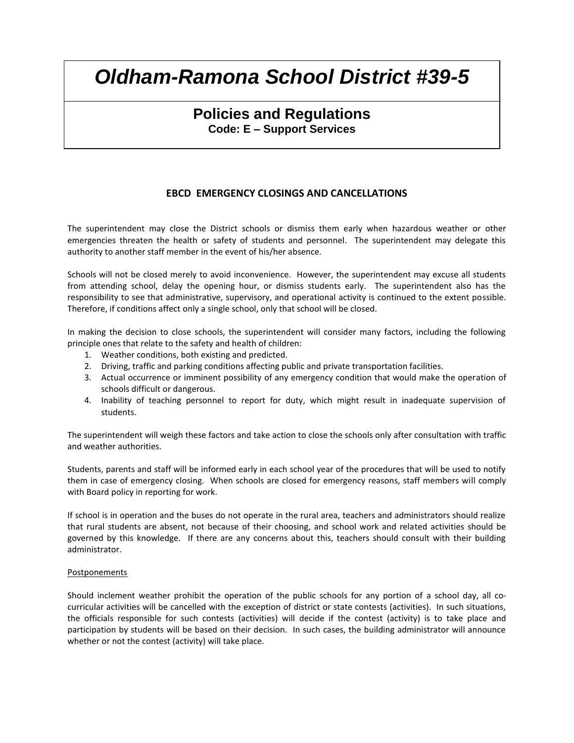## **Policies and Regulations Code: E – Support Services**

### **EBCD EMERGENCY CLOSINGS AND CANCELLATIONS**

The superintendent may close the District schools or dismiss them early when hazardous weather or other emergencies threaten the health or safety of students and personnel. The superintendent may delegate this authority to another staff member in the event of his/her absence.

Schools will not be closed merely to avoid inconvenience. However, the superintendent may excuse all students from attending school, delay the opening hour, or dismiss students early. The superintendent also has the responsibility to see that administrative, supervisory, and operational activity is continued to the extent possible. Therefore, if conditions affect only a single school, only that school will be closed.

In making the decision to close schools, the superintendent will consider many factors, including the following principle ones that relate to the safety and health of children:

- 1. Weather conditions, both existing and predicted.
- 2. Driving, traffic and parking conditions affecting public and private transportation facilities.
- 3. Actual occurrence or imminent possibility of any emergency condition that would make the operation of schools difficult or dangerous.
- 4. Inability of teaching personnel to report for duty, which might result in inadequate supervision of students.

The superintendent will weigh these factors and take action to close the schools only after consultation with traffic and weather authorities.

Students, parents and staff will be informed early in each school year of the procedures that will be used to notify them in case of emergency closing. When schools are closed for emergency reasons, staff members will comply with Board policy in reporting for work.

If school is in operation and the buses do not operate in the rural area, teachers and administrators should realize that rural students are absent, not because of their choosing, and school work and related activities should be governed by this knowledge. If there are any concerns about this, teachers should consult with their building administrator.

### Postponements

Should inclement weather prohibit the operation of the public schools for any portion of a school day, all cocurricular activities will be cancelled with the exception of district or state contests (activities). In such situations, the officials responsible for such contests (activities) will decide if the contest (activity) is to take place and participation by students will be based on their decision. In such cases, the building administrator will announce whether or not the contest (activity) will take place.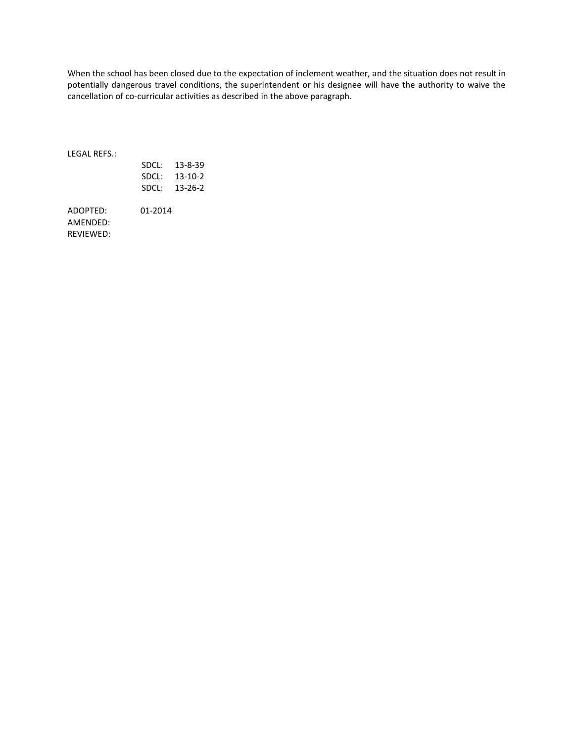When the school has been closed due to the expectation of inclement weather, and the situation does not result in potentially dangerous travel conditions, the superintendent or his designee will have the authority to waive the cancellation of co-curricular activities as described in the above paragraph.

LEGAL REFS.:

| SDCL: | 13-8-39 |
|-------|---------|
| SDCL: | 13-10-2 |
| SDCL: | 13-26-2 |

ADOPTED: 01-2014 AMENDED: REVIEWED: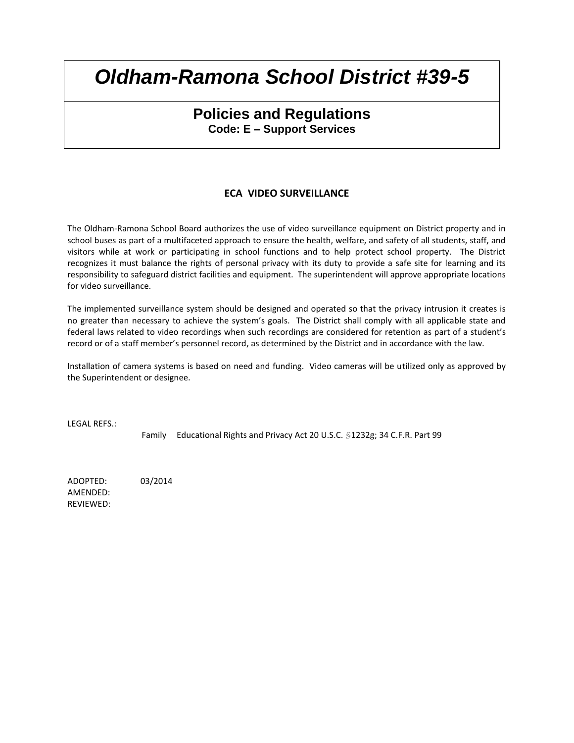## **Policies and Regulations Code: E – Support Services**

### **ECA VIDEO SURVEILLANCE**

The Oldham-Ramona School Board authorizes the use of video surveillance equipment on District property and in school buses as part of a multifaceted approach to ensure the health, welfare, and safety of all students, staff, and visitors while at work or participating in school functions and to help protect school property. The District recognizes it must balance the rights of personal privacy with its duty to provide a safe site for learning and its responsibility to safeguard district facilities and equipment. The superintendent will approve appropriate locations for video surveillance.

The implemented surveillance system should be designed and operated so that the privacy intrusion it creates is no greater than necessary to achieve the system's goals. The District shall comply with all applicable state and federal laws related to video recordings when such recordings are considered for retention as part of a student's record or of a staff member's personnel record, as determined by the District and in accordance with the law.

Installation of camera systems is based on need and funding. Video cameras will be utilized only as approved by the Superintendent or designee.

LEGAL REFS.:

Family Educational Rights and Privacy Act 20 U.S.C. §1232g; 34 C.F.R. Part 99

ADOPTED: 03/2014 AMENDED: REVIEWED: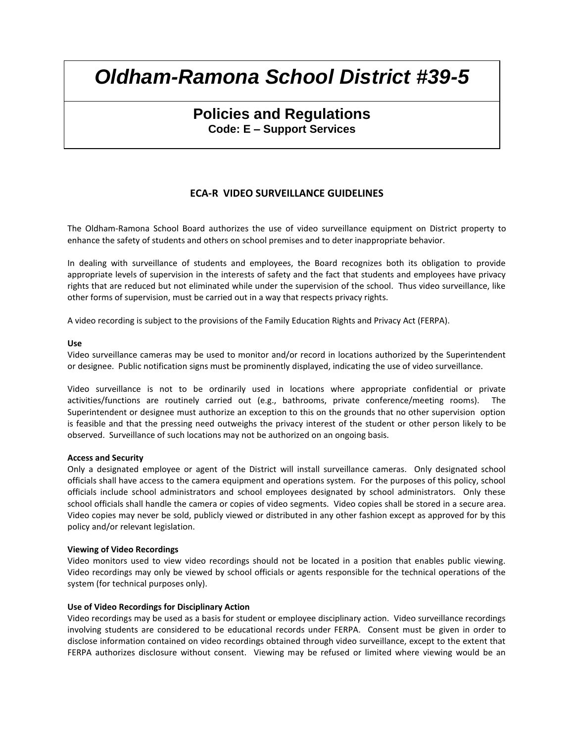## **Policies and Regulations Code: E – Support Services**

### **ECA-R VIDEO SURVEILLANCE GUIDELINES**

The Oldham-Ramona School Board authorizes the use of video surveillance equipment on District property to enhance the safety of students and others on school premises and to deter inappropriate behavior.

In dealing with surveillance of students and employees, the Board recognizes both its obligation to provide appropriate levels of supervision in the interests of safety and the fact that students and employees have privacy rights that are reduced but not eliminated while under the supervision of the school. Thus video surveillance, like other forms of supervision, must be carried out in a way that respects privacy rights.

A video recording is subject to the provisions of the Family Education Rights and Privacy Act (FERPA).

### **Use**

Video surveillance cameras may be used to monitor and/or record in locations authorized by the Superintendent or designee. Public notification signs must be prominently displayed, indicating the use of video surveillance.

Video surveillance is not to be ordinarily used in locations where appropriate confidential or private activities/functions are routinely carried out (e.g., bathrooms, private conference/meeting rooms). The Superintendent or designee must authorize an exception to this on the grounds that no other supervision option is feasible and that the pressing need outweighs the privacy interest of the student or other person likely to be observed. Surveillance of such locations may not be authorized on an ongoing basis.

### **Access and Security**

Only a designated employee or agent of the District will install surveillance cameras. Only designated school officials shall have access to the camera equipment and operations system. For the purposes of this policy, school officials include school administrators and school employees designated by school administrators. Only these school officials shall handle the camera or copies of video segments. Video copies shall be stored in a secure area. Video copies may never be sold, publicly viewed or distributed in any other fashion except as approved for by this policy and/or relevant legislation.

### **Viewing of Video Recordings**

Video monitors used to view video recordings should not be located in a position that enables public viewing. Video recordings may only be viewed by school officials or agents responsible for the technical operations of the system (for technical purposes only).

### **Use of Video Recordings for Disciplinary Action**

Video recordings may be used as a basis for student or employee disciplinary action. Video surveillance recordings involving students are considered to be educational records under FERPA. Consent must be given in order to disclose information contained on video recordings obtained through video surveillance, except to the extent that FERPA authorizes disclosure without consent. Viewing may be refused or limited where viewing would be an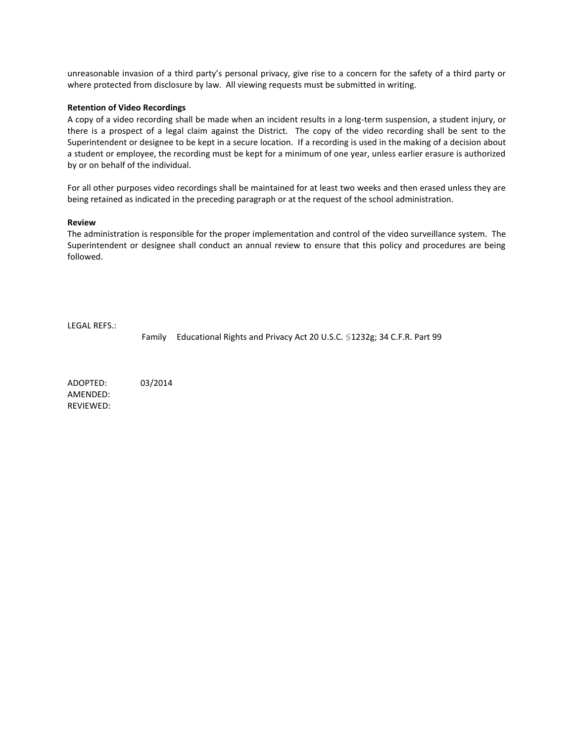unreasonable invasion of a third party's personal privacy, give rise to a concern for the safety of a third party or where protected from disclosure by law. All viewing requests must be submitted in writing.

#### **Retention of Video Recordings**

A copy of a video recording shall be made when an incident results in a long-term suspension, a student injury, or there is a prospect of a legal claim against the District. The copy of the video recording shall be sent to the Superintendent or designee to be kept in a secure location. If a recording is used in the making of a decision about a student or employee, the recording must be kept for a minimum of one year, unless earlier erasure is authorized by or on behalf of the individual.

For all other purposes video recordings shall be maintained for at least two weeks and then erased unless they are being retained as indicated in the preceding paragraph or at the request of the school administration.

#### **Review**

The administration is responsible for the proper implementation and control of the video surveillance system. The Superintendent or designee shall conduct an annual review to ensure that this policy and procedures are being followed.

LEGAL REFS.:

Family Educational Rights and Privacy Act 20 U.S.C. §1232g; 34 C.F.R. Part 99

ADOPTED: 03/2014 AMENDED: REVIEWED: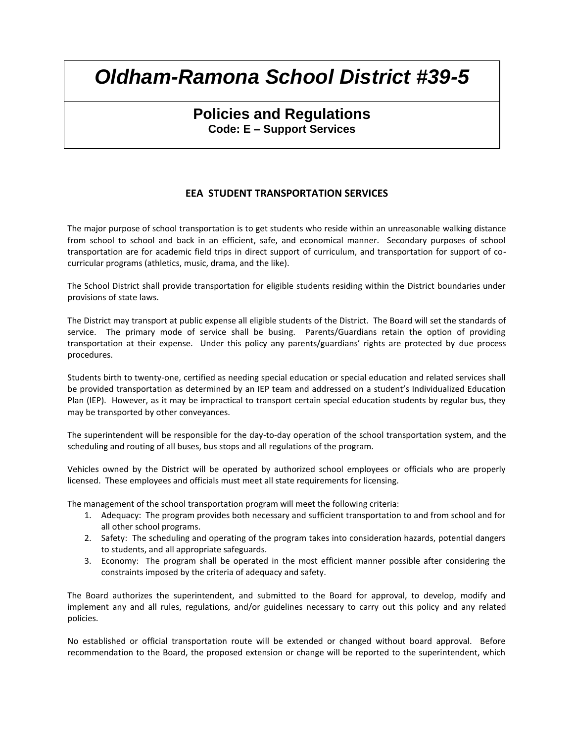## **Policies and Regulations Code: E – Support Services**

### **EEA STUDENT TRANSPORTATION SERVICES**

The major purpose of school transportation is to get students who reside within an unreasonable walking distance from school to school and back in an efficient, safe, and economical manner. Secondary purposes of school transportation are for academic field trips in direct support of curriculum, and transportation for support of cocurricular programs (athletics, music, drama, and the like).

The School District shall provide transportation for eligible students residing within the District boundaries under provisions of state laws.

The District may transport at public expense all eligible students of the District. The Board will set the standards of service. The primary mode of service shall be busing. Parents/Guardians retain the option of providing transportation at their expense. Under this policy any parents/guardians' rights are protected by due process procedures.

Students birth to twenty-one, certified as needing special education or special education and related services shall be provided transportation as determined by an IEP team and addressed on a student's Individualized Education Plan (IEP). However, as it may be impractical to transport certain special education students by regular bus, they may be transported by other conveyances.

The superintendent will be responsible for the day-to-day operation of the school transportation system, and the scheduling and routing of all buses, bus stops and all regulations of the program.

Vehicles owned by the District will be operated by authorized school employees or officials who are properly licensed. These employees and officials must meet all state requirements for licensing.

The management of the school transportation program will meet the following criteria:

- 1. Adequacy: The program provides both necessary and sufficient transportation to and from school and for all other school programs.
- 2. Safety: The scheduling and operating of the program takes into consideration hazards, potential dangers to students, and all appropriate safeguards.
- 3. Economy: The program shall be operated in the most efficient manner possible after considering the constraints imposed by the criteria of adequacy and safety.

The Board authorizes the superintendent, and submitted to the Board for approval, to develop, modify and implement any and all rules, regulations, and/or guidelines necessary to carry out this policy and any related policies.

No established or official transportation route will be extended or changed without board approval. Before recommendation to the Board, the proposed extension or change will be reported to the superintendent, which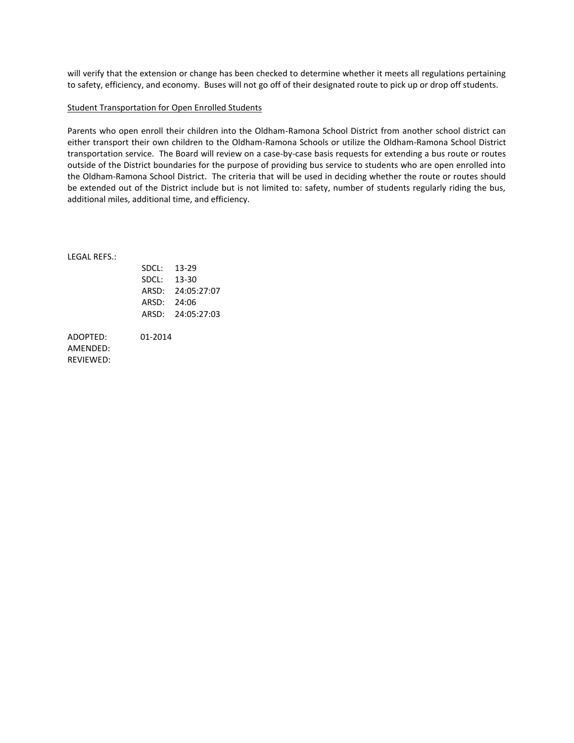will verify that the extension or change has been checked to determine whether it meets all regulations pertaining to safety, efficiency, and economy. Buses will not go off of their designated route to pick up or drop off students.

### Student Transportation for Open Enrolled Students

Parents who open enroll their children into the Oldham-Ramona School District from another school district can either transport their own children to the Oldham-Ramona Schools or utilize the Oldham-Ramona School District transportation service. The Board will review on a case-by-case basis requests for extending a bus route or routes outside of the District boundaries for the purpose of providing bus service to students who are open enrolled into the Oldham-Ramona School District. The criteria that will be used in deciding whether the route or routes should be extended out of the District include but is not limited to: safety, number of students regularly riding the bus, additional miles, additional time, and efficiency.

LEGAL REFS.:

| SDCL: | 13-29       |
|-------|-------------|
| SDCL: | 13-30       |
| ARSD: | 24:05:27:07 |
| ARSD: | 24:06       |
| ARSD: | 24:05:27:03 |
|       |             |

ADOPTED: 01-2014 AMENDED: REVIEWED: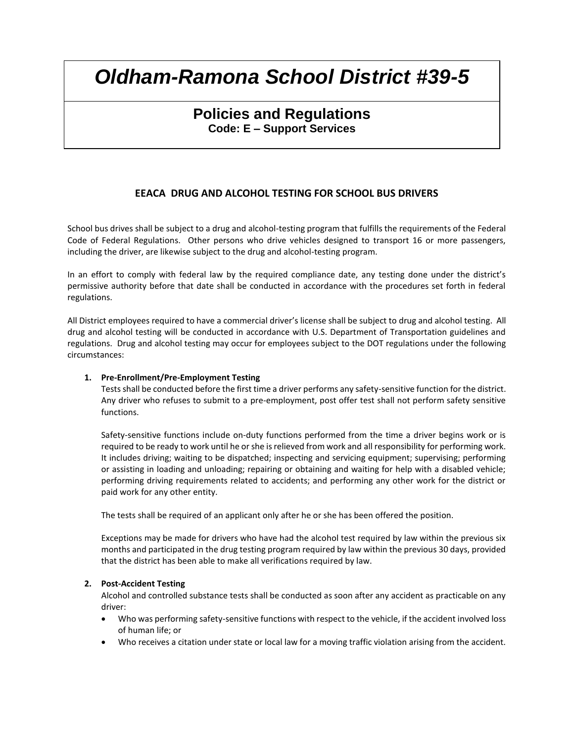## **Policies and Regulations Code: E – Support Services**

### **EEACA DRUG AND ALCOHOL TESTING FOR SCHOOL BUS DRIVERS**

School bus drives shall be subject to a drug and alcohol-testing program that fulfills the requirements of the Federal Code of Federal Regulations. Other persons who drive vehicles designed to transport 16 or more passengers, including the driver, are likewise subject to the drug and alcohol-testing program.

In an effort to comply with federal law by the required compliance date, any testing done under the district's permissive authority before that date shall be conducted in accordance with the procedures set forth in federal regulations.

All District employees required to have a commercial driver's license shall be subject to drug and alcohol testing. All drug and alcohol testing will be conducted in accordance with U.S. Department of Transportation guidelines and regulations. Drug and alcohol testing may occur for employees subject to the DOT regulations under the following circumstances:

### **1. Pre-Enrollment/Pre-Employment Testing**

Tests shall be conducted before the first time a driver performs any safety-sensitive function for the district. Any driver who refuses to submit to a pre-employment, post offer test shall not perform safety sensitive functions.

Safety-sensitive functions include on-duty functions performed from the time a driver begins work or is required to be ready to work until he or she is relieved from work and all responsibility for performing work. It includes driving; waiting to be dispatched; inspecting and servicing equipment; supervising; performing or assisting in loading and unloading; repairing or obtaining and waiting for help with a disabled vehicle; performing driving requirements related to accidents; and performing any other work for the district or paid work for any other entity.

The tests shall be required of an applicant only after he or she has been offered the position.

Exceptions may be made for drivers who have had the alcohol test required by law within the previous six months and participated in the drug testing program required by law within the previous 30 days, provided that the district has been able to make all verifications required by law.

### **2. Post-Accident Testing**

Alcohol and controlled substance tests shall be conducted as soon after any accident as practicable on any driver:

- Who was performing safety-sensitive functions with respect to the vehicle, if the accident involved loss of human life; or
- Who receives a citation under state or local law for a moving traffic violation arising from the accident.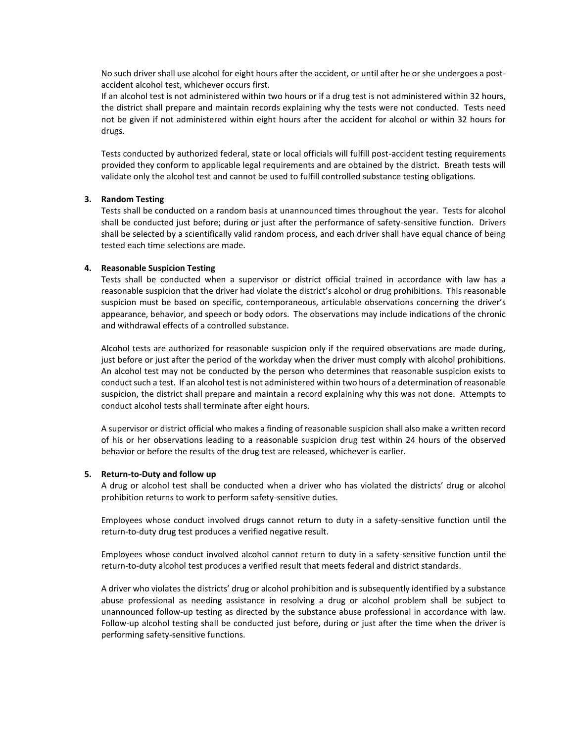No such driver shall use alcohol for eight hours after the accident, or until after he or she undergoes a postaccident alcohol test, whichever occurs first.

If an alcohol test is not administered within two hours or if a drug test is not administered within 32 hours, the district shall prepare and maintain records explaining why the tests were not conducted. Tests need not be given if not administered within eight hours after the accident for alcohol or within 32 hours for drugs.

Tests conducted by authorized federal, state or local officials will fulfill post-accident testing requirements provided they conform to applicable legal requirements and are obtained by the district. Breath tests will validate only the alcohol test and cannot be used to fulfill controlled substance testing obligations.

### **3. Random Testing**

Tests shall be conducted on a random basis at unannounced times throughout the year. Tests for alcohol shall be conducted just before; during or just after the performance of safety-sensitive function. Drivers shall be selected by a scientifically valid random process, and each driver shall have equal chance of being tested each time selections are made.

#### **4. Reasonable Suspicion Testing**

Tests shall be conducted when a supervisor or district official trained in accordance with law has a reasonable suspicion that the driver had violate the district's alcohol or drug prohibitions. This reasonable suspicion must be based on specific, contemporaneous, articulable observations concerning the driver's appearance, behavior, and speech or body odors. The observations may include indications of the chronic and withdrawal effects of a controlled substance.

Alcohol tests are authorized for reasonable suspicion only if the required observations are made during, just before or just after the period of the workday when the driver must comply with alcohol prohibitions. An alcohol test may not be conducted by the person who determines that reasonable suspicion exists to conduct such a test. If an alcohol test is not administered within two hours of a determination of reasonable suspicion, the district shall prepare and maintain a record explaining why this was not done. Attempts to conduct alcohol tests shall terminate after eight hours.

A supervisor or district official who makes a finding of reasonable suspicion shall also make a written record of his or her observations leading to a reasonable suspicion drug test within 24 hours of the observed behavior or before the results of the drug test are released, whichever is earlier.

#### **5. Return-to-Duty and follow up**

A drug or alcohol test shall be conducted when a driver who has violated the districts' drug or alcohol prohibition returns to work to perform safety-sensitive duties.

Employees whose conduct involved drugs cannot return to duty in a safety-sensitive function until the return-to-duty drug test produces a verified negative result.

Employees whose conduct involved alcohol cannot return to duty in a safety-sensitive function until the return-to-duty alcohol test produces a verified result that meets federal and district standards.

A driver who violates the districts' drug or alcohol prohibition and is subsequently identified by a substance abuse professional as needing assistance in resolving a drug or alcohol problem shall be subject to unannounced follow-up testing as directed by the substance abuse professional in accordance with law. Follow-up alcohol testing shall be conducted just before, during or just after the time when the driver is performing safety-sensitive functions.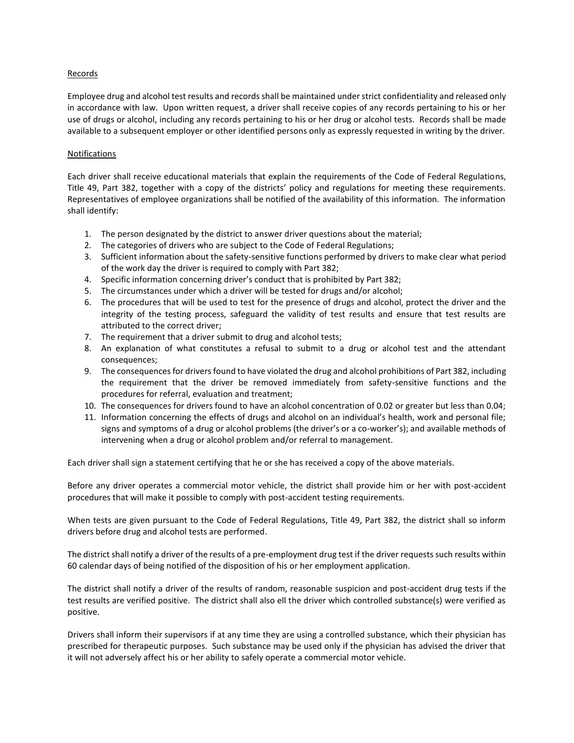### Records

Employee drug and alcohol test results and records shall be maintained under strict confidentiality and released only in accordance with law. Upon written request, a driver shall receive copies of any records pertaining to his or her use of drugs or alcohol, including any records pertaining to his or her drug or alcohol tests. Records shall be made available to a subsequent employer or other identified persons only as expressly requested in writing by the driver.

### Notifications

Each driver shall receive educational materials that explain the requirements of the Code of Federal Regulations, Title 49, Part 382, together with a copy of the districts' policy and regulations for meeting these requirements. Representatives of employee organizations shall be notified of the availability of this information. The information shall identify:

- 1. The person designated by the district to answer driver questions about the material;
- 2. The categories of drivers who are subject to the Code of Federal Regulations;
- 3. Sufficient information about the safety-sensitive functions performed by drivers to make clear what period of the work day the driver is required to comply with Part 382;
- 4. Specific information concerning driver's conduct that is prohibited by Part 382;
- 5. The circumstances under which a driver will be tested for drugs and/or alcohol;
- 6. The procedures that will be used to test for the presence of drugs and alcohol, protect the driver and the integrity of the testing process, safeguard the validity of test results and ensure that test results are attributed to the correct driver;
- 7. The requirement that a driver submit to drug and alcohol tests;
- 8. An explanation of what constitutes a refusal to submit to a drug or alcohol test and the attendant consequences;
- 9. The consequences for drivers found to have violated the drug and alcohol prohibitions of Part 382, including the requirement that the driver be removed immediately from safety-sensitive functions and the procedures for referral, evaluation and treatment;
- 10. The consequences for drivers found to have an alcohol concentration of 0.02 or greater but less than 0.04;
- 11. Information concerning the effects of drugs and alcohol on an individual's health, work and personal file; signs and symptoms of a drug or alcohol problems (the driver's or a co-worker's); and available methods of intervening when a drug or alcohol problem and/or referral to management.

Each driver shall sign a statement certifying that he or she has received a copy of the above materials.

Before any driver operates a commercial motor vehicle, the district shall provide him or her with post-accident procedures that will make it possible to comply with post-accident testing requirements.

When tests are given pursuant to the Code of Federal Regulations, Title 49, Part 382, the district shall so inform drivers before drug and alcohol tests are performed.

The district shall notify a driver of the results of a pre-employment drug test if the driver requests such results within 60 calendar days of being notified of the disposition of his or her employment application.

The district shall notify a driver of the results of random, reasonable suspicion and post-accident drug tests if the test results are verified positive. The district shall also ell the driver which controlled substance(s) were verified as positive.

Drivers shall inform their supervisors if at any time they are using a controlled substance, which their physician has prescribed for therapeutic purposes. Such substance may be used only if the physician has advised the driver that it will not adversely affect his or her ability to safely operate a commercial motor vehicle.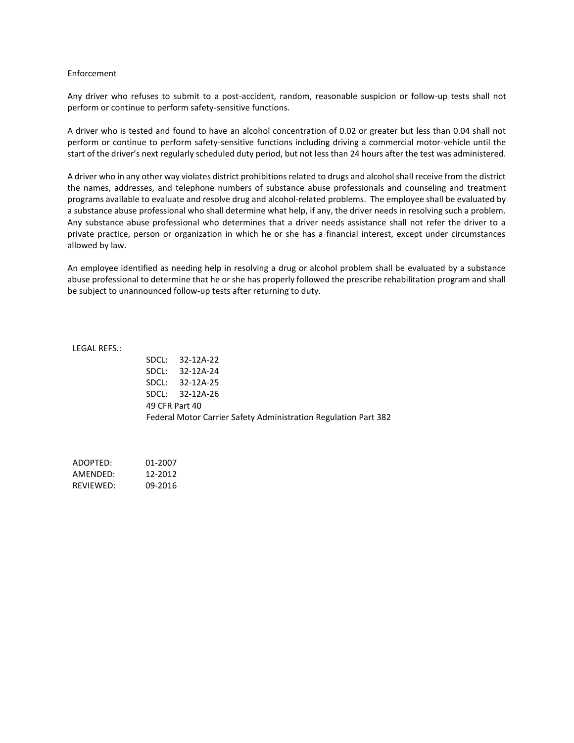#### Enforcement

Any driver who refuses to submit to a post-accident, random, reasonable suspicion or follow-up tests shall not perform or continue to perform safety-sensitive functions.

A driver who is tested and found to have an alcohol concentration of 0.02 or greater but less than 0.04 shall not perform or continue to perform safety-sensitive functions including driving a commercial motor-vehicle until the start of the driver's next regularly scheduled duty period, but not less than 24 hours after the test was administered.

A driver who in any other way violates district prohibitions related to drugs and alcohol shall receive from the district the names, addresses, and telephone numbers of substance abuse professionals and counseling and treatment programs available to evaluate and resolve drug and alcohol-related problems. The employee shall be evaluated by a substance abuse professional who shall determine what help, if any, the driver needs in resolving such a problem. Any substance abuse professional who determines that a driver needs assistance shall not refer the driver to a private practice, person or organization in which he or she has a financial interest, except under circumstances allowed by law.

An employee identified as needing help in resolving a drug or alcohol problem shall be evaluated by a substance abuse professional to determine that he or she has properly followed the prescribe rehabilitation program and shall be subject to unannounced follow-up tests after returning to duty.

LEGAL REFS.:

SDCL: 32-12A-22 SDCL: 32-12A-24 SDCL: 32-12A-25 SDCL: 32-12A-26 49 CFR Part 40 Federal Motor Carrier Safety Administration Regulation Part 382

ADOPTED: 01-2007 AMENDED: 12-2012 REVIEWED: 09-2016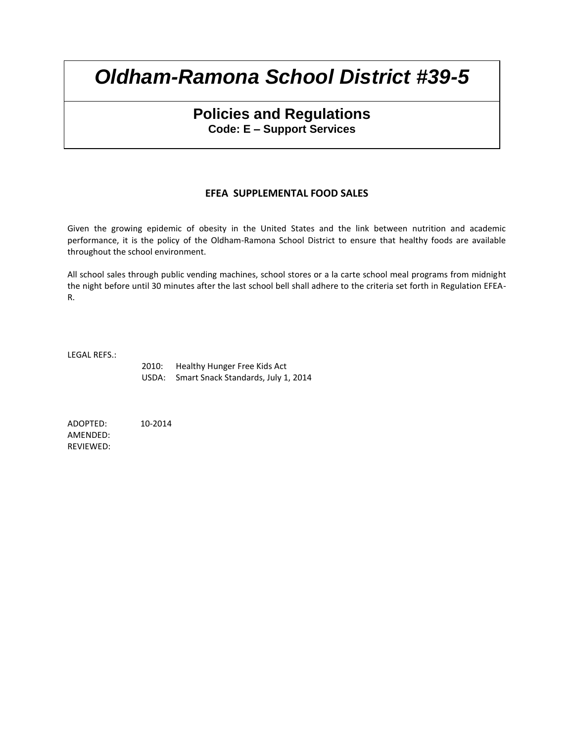## **Policies and Regulations Code: E – Support Services**

### **EFEA SUPPLEMENTAL FOOD SALES**

Given the growing epidemic of obesity in the United States and the link between nutrition and academic performance, it is the policy of the Oldham-Ramona School District to ensure that healthy foods are available throughout the school environment.

All school sales through public vending machines, school stores or a la carte school meal programs from midnight the night before until 30 minutes after the last school bell shall adhere to the criteria set forth in Regulation EFEA-R.

LEGAL REFS.:

2010: Healthy Hunger Free Kids Act USDA: Smart Snack Standards, July 1, 2014

ADOPTED: 10-2014 AMENDED: REVIEWED: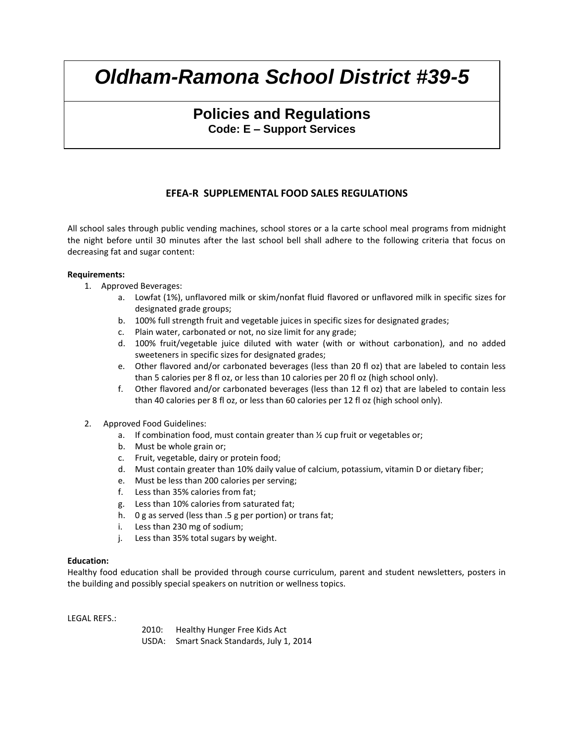## **Policies and Regulations Code: E – Support Services**

### **EFEA-R SUPPLEMENTAL FOOD SALES REGULATIONS**

All school sales through public vending machines, school stores or a la carte school meal programs from midnight the night before until 30 minutes after the last school bell shall adhere to the following criteria that focus on decreasing fat and sugar content:

### **Requirements:**

- 1. Approved Beverages:
	- a. Lowfat (1%), unflavored milk or skim/nonfat fluid flavored or unflavored milk in specific sizes for designated grade groups;
	- b. 100% full strength fruit and vegetable juices in specific sizes for designated grades;
	- c. Plain water, carbonated or not, no size limit for any grade;
	- d. 100% fruit/vegetable juice diluted with water (with or without carbonation), and no added sweeteners in specific sizes for designated grades;
	- e. Other flavored and/or carbonated beverages (less than 20 fl oz) that are labeled to contain less than 5 calories per 8 fl oz, or less than 10 calories per 20 fl oz (high school only).
	- f. Other flavored and/or carbonated beverages (less than 12 fl oz) that are labeled to contain less than 40 calories per 8 fl oz, or less than 60 calories per 12 fl oz (high school only).
- 2. Approved Food Guidelines:
	- a. If combination food, must contain greater than  $\frac{1}{2}$  cup fruit or vegetables or;
	- b. Must be whole grain or;
	- c. Fruit, vegetable, dairy or protein food;
	- d. Must contain greater than 10% daily value of calcium, potassium, vitamin D or dietary fiber;
	- e. Must be less than 200 calories per serving;
	- f. Less than 35% calories from fat;
	- g. Less than 10% calories from saturated fat;
	- h. 0 g as served (less than .5 g per portion) or trans fat;
	- i. Less than 230 mg of sodium;
	- j. Less than 35% total sugars by weight.

### **Education:**

Healthy food education shall be provided through course curriculum, parent and student newsletters, posters in the building and possibly special speakers on nutrition or wellness topics.

LEGAL REFS.:

2010: Healthy Hunger Free Kids Act USDA: Smart Snack Standards, July 1, 2014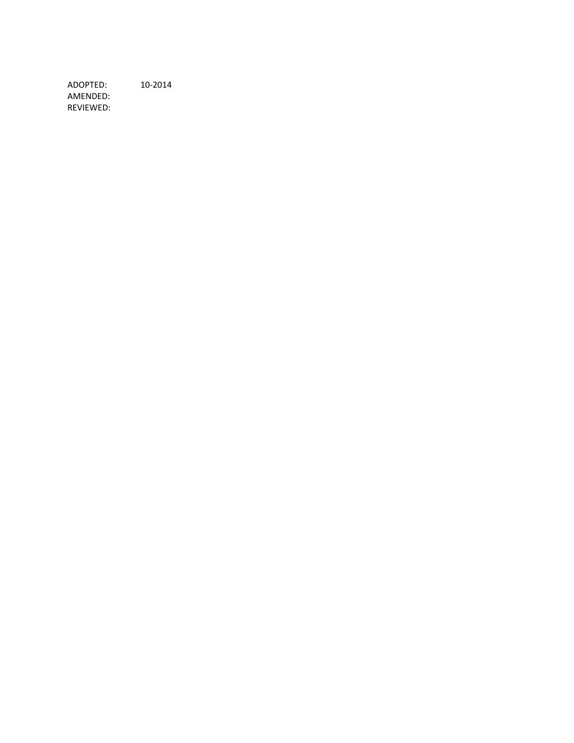ADOPTED: 10-2014 AMENDED: REVIEWED: